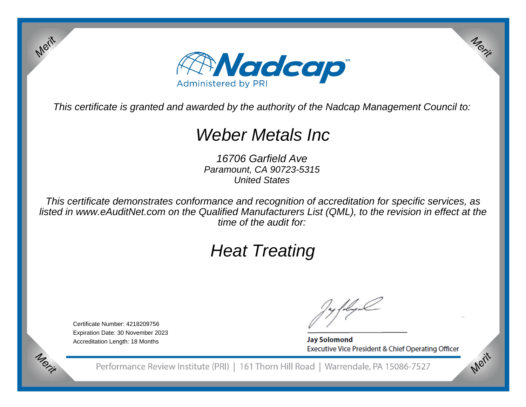

This certificate is granted and awarded by the authority of the Nadcap Management Council to:

# Weber Metals Inc

16706 Garfield Ave Paramount, CA 90723-5315United States

This certificate demonstrates conformance and recognition of accreditation for specific services, as listed in www.eAuditNet.com on the Qualified Manufacturers List (QML), to the revision in effect at thetime of the audit for:

# Heat Treating

Certificate Number: 4218209756 Expiration Date: 30 November 2023Accreditation Length: 18 Months

Merit

Merit

**Jay Solomond** Executive Vice President & Chief Operating Officer Merit

Merit

Performance Review Institute (PRI) | 161 Thorn Hill Road | Warrendale, PA 15086-7527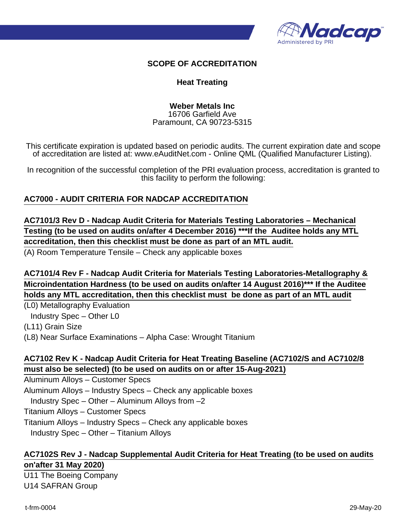

#### **SCOPE OF ACCREDITATION**

#### **Heat Treating**

#### **Weber Metals Inc** 16706 Garfield Ave Paramount, CA 90723-5315

This certificate expiration is updated based on periodic audits. The current expiration date and scope of accreditation are listed at: www.eAuditNet.com - Online QML (Qualified Manufacturer Listing).

In recognition of the successful completion of the PRI evaluation process, accreditation is granted to this facility to perform the following:

### **AC7000 - AUDIT CRITERIA FOR NADCAP ACCREDITATION**

**AC7101/3 Rev D - Nadcap Audit Criteria for Materials Testing Laboratories – Mechanical Testing (to be used on audits on/after 4 December 2016) \*\*\*If the Auditee holds any MTL accreditation, then this checklist must be done as part of an MTL audit.**

(A) Room Temperature Tensile – Check any applicable boxes

**AC7101/4 Rev F - Nadcap Audit Criteria for Materials Testing Laboratories-Metallography & Microindentation Hardness (to be used on audits on/after 14 August 2016)\*\*\* If the Auditee holds any MTL accreditation, then this checklist must be done as part of an MTL audit**

(L0) Metallography Evaluation

Industry Spec – Other L0

(L11) Grain Size

(L8) Near Surface Examinations – Alpha Case: Wrought Titanium

# **AC7102 Rev K - Nadcap Audit Criteria for Heat Treating Baseline (AC7102/S and AC7102/8 must also be selected) (to be used on audits on or after 15-Aug-2021)**

Aluminum Alloys – Customer Specs Aluminum Alloys – Industry Specs – Check any applicable boxes Industry Spec – Other – Aluminum Alloys from –2 Titanium Alloys – Customer Specs Titanium Alloys – Industry Specs – Check any applicable boxes Industry Spec – Other – Titanium Alloys

### **AC7102S Rev J - Nadcap Supplemental Audit Criteria for Heat Treating (to be used on audits on'after 31 May 2020)**

U11 The Boeing Company U14 SAFRAN Group